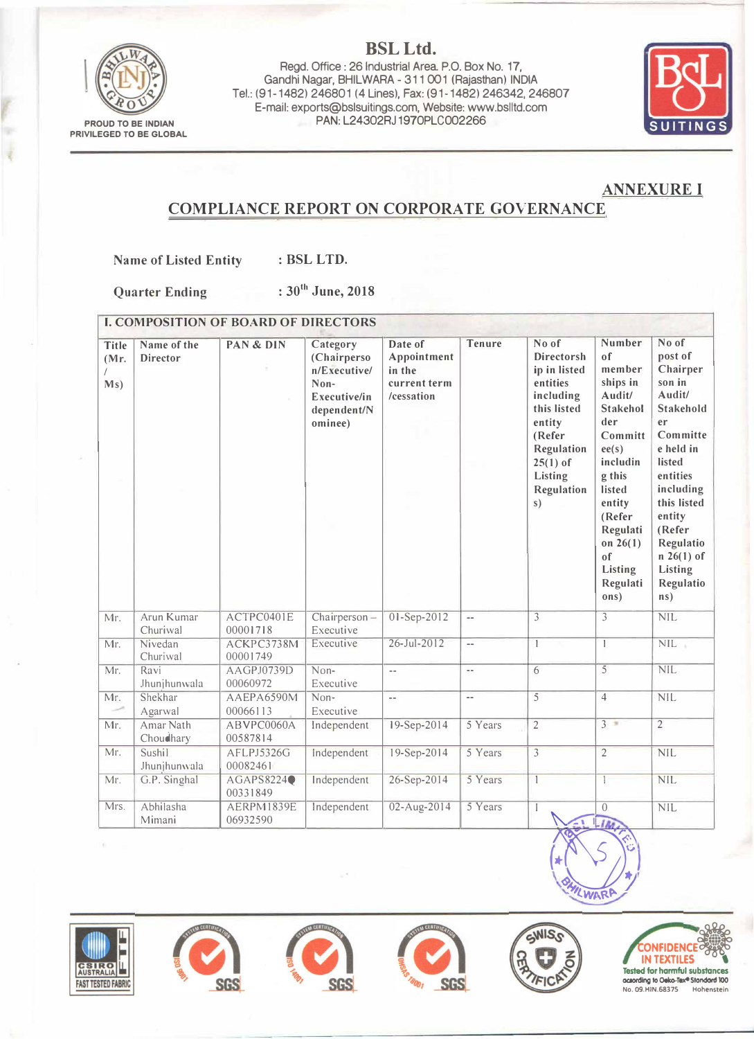

**BSLLtd.**  Regd. Office: 26 Industrial Area P.O. Box No. 17, Gandhi Nagar, BHILWARA - 311 001 (Rajasthan) INDIA Tel.: (91-1482) 246801 (4 Lines), Fax: (91-1482) 246342, 246807 E-mail: exports@bslsuitings.com, Website:www.bslltd.com PAN: L24302RJ1970PLC002266



## **ANNEXUREI**

## **COMPLIANCE REPORT ON CORPORATE GOVERNANCE**

**Name of Listed Entity : BSL LTD.** 

**Quarter Ending : 30th June, 2018** 

| <b>I. COMPOSITION OF BOARD OF DIRECTORS</b> |                                |                        |                                                                                           |                                                                |                          |                                                                                                                                                                   |                                                                                                                                                                                                                          |                                                                                                                                                                                                                                |
|---------------------------------------------|--------------------------------|------------------------|-------------------------------------------------------------------------------------------|----------------------------------------------------------------|--------------------------|-------------------------------------------------------------------------------------------------------------------------------------------------------------------|--------------------------------------------------------------------------------------------------------------------------------------------------------------------------------------------------------------------------|--------------------------------------------------------------------------------------------------------------------------------------------------------------------------------------------------------------------------------|
| <b>Title</b><br>(Mr.<br>Ms)                 | Name of the<br><b>Director</b> | PAN & DIN              | Category<br>(Chairperso<br>n/Executive/<br>Non-<br>Executive/in<br>dependent/N<br>ominee) | Date of<br>Appointment<br>in the<br>current term<br>/cessation | <b>Tenure</b>            | No of<br><b>Directorsh</b><br>ip in listed<br>entities<br>including<br>this listed<br>entity<br>(Refer<br>Regulation<br>$25(1)$ of<br>Listing<br>Regulation<br>s) | Number<br>of<br>member<br>ships in<br>Audit/<br><b>Stakehol</b><br>der<br>Committ<br>ee(s)<br>includin<br>g this<br>listed<br>entity<br>(Refer<br>Regulati<br>on $26(1)$<br><sub>of</sub><br>Listing<br>Regulati<br>ons) | No of<br>post of<br>Chairper<br>son in<br>Audit/<br>Stakehold<br>er<br>Committe<br>e held in<br>listed<br>entities<br>including<br>this listed<br>entity<br>(Refer<br>Regulatio<br>$n 26(1)$ of<br>Listing<br>Regulatio<br>ns) |
| Mr.                                         | Arun Kumar<br>Churiwal         | ACTPC0401E<br>00001718 | Chairperson-<br>Executive                                                                 | 01-Sep-2012                                                    | $\overline{\phantom{a}}$ | $\overline{3}$                                                                                                                                                    | $\overline{\mathbf{3}}$                                                                                                                                                                                                  | NIL                                                                                                                                                                                                                            |
| Mr.                                         | Nivedan<br>Churiwal            | ACKPC3738M<br>00001749 | Executive                                                                                 | $26 - Jul - 2012$                                              | Ξ.                       | $\overline{1}$                                                                                                                                                    | $\mathbf{1}$                                                                                                                                                                                                             | NIL                                                                                                                                                                                                                            |
| Mr.                                         | Ravi<br>Jhunjhunwala           | AAGPJ0739D<br>00060972 | Non-<br>Executive                                                                         | $\mathcal{L}^{\mathcal{L}}$                                    | μ.                       | $\overline{6}$                                                                                                                                                    | $\overline{5}$                                                                                                                                                                                                           | <b>NIL</b>                                                                                                                                                                                                                     |
| Mr.                                         | Shekhar<br>Agarwal             | AAEPA6590M<br>00066113 | Non-<br>Executive                                                                         | $\overline{\phantom{a}}$                                       | $\overline{\phantom{a}}$ | $\overline{5}$                                                                                                                                                    | $\overline{4}$                                                                                                                                                                                                           | NIL                                                                                                                                                                                                                            |
| Mr.                                         | Amar Nath<br>Choudhary         | ABVPC0060A<br>00587814 | Independent                                                                               | 19-Sep-2014                                                    | 5 Years                  | $\overline{2}$                                                                                                                                                    | $3 =$                                                                                                                                                                                                                    | $\overline{2}$                                                                                                                                                                                                                 |
| Mr.                                         | Sushil<br>Jhunjhunwala         | AFLPJ5326G<br>00082461 | Independent                                                                               | 19-Sep-2014                                                    | 5 Years                  | $\overline{\overline{3}}$                                                                                                                                         | $\overline{2}$                                                                                                                                                                                                           | <b>NIL</b>                                                                                                                                                                                                                     |
| Mr.                                         | G.P. Singhal                   | AGAPS8224<br>00331849  | Independent                                                                               | 26-Sep-2014                                                    | 5 Years                  | $\overline{1}$                                                                                                                                                    | $\overline{\phantom{a}}$                                                                                                                                                                                                 | <b>NIL</b>                                                                                                                                                                                                                     |
| Mrs.                                        | Abhilasha<br>Mimani            | AERPM1839E<br>06932590 | Independent                                                                               | 02-Aug-2014                                                    | 5 Years                  | $\mathbf{I}$                                                                                                                                                      | $\sqrt{0}$                                                                                                                                                                                                               | NIL                                                                                                                                                                                                                            |
|                                             |                                |                        |                                                                                           |                                                                |                          |                                                                                                                                                                   | WARP                                                                                                                                                                                                                     |                                                                                                                                                                                                                                |

**CSIRO**<br>AUSTRALIA **FAST TESTED FABRIC** 









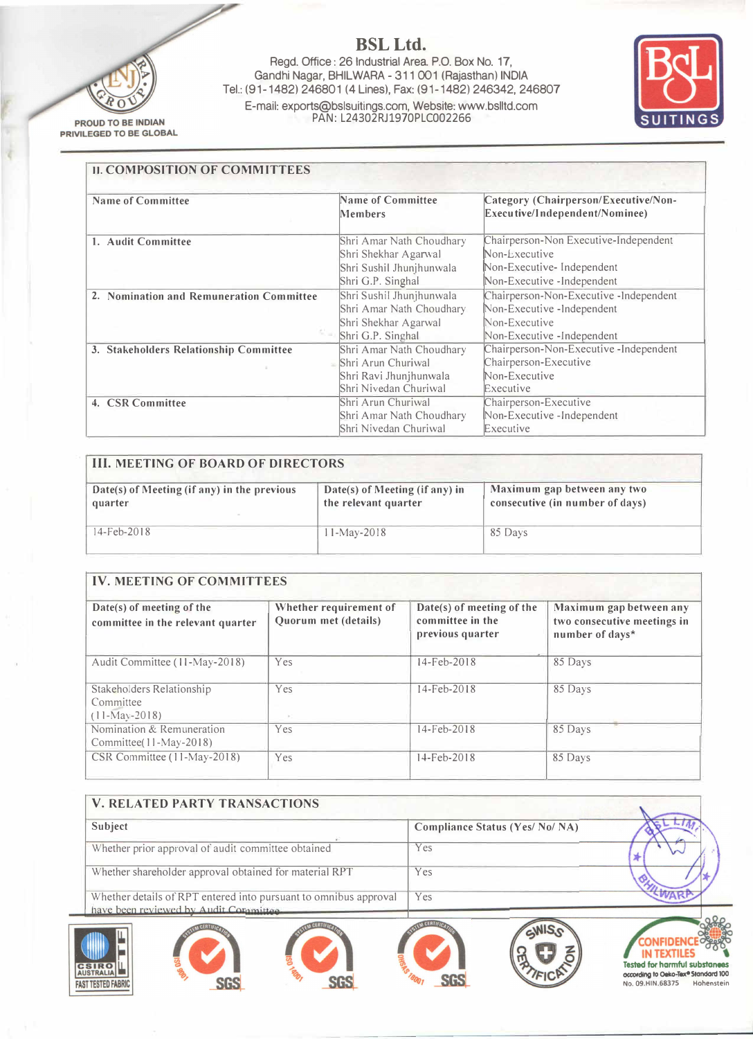

<sup>t</sup>

**BSLLtd.** 

Regd. Office : 26 Industrial Area. P.O. Box No. 17, Gandhi Nagar, BHILWARA- 311 001 ( Rajasthan) INDIA Tel.: (91-1482) 246801 (4 Lines), Fax: (91-1482) 246342, 246807 E-mail: exports@bslsuitings.com, Website: www.bslltd.com PAN: L24302RJ1970PLC002266



| <b>Name of Committee</b>                 | <b>Name of Committee</b><br><b>Members</b> | Category (Chairperson/Executive/Non-<br>Executive/Independent/Nominee) |
|------------------------------------------|--------------------------------------------|------------------------------------------------------------------------|
| 1. Audit Committee                       | Shri Amar Nath Choudhary                   | Chairperson-Non Executive-Independent                                  |
|                                          | Shri Shekhar Agarwal                       | Non-Executive                                                          |
|                                          | Shri Sushil Jhunjhunwala                   | Non-Executive-Independent                                              |
|                                          | Shri G.P. Singhal                          | Non-Executive -Independent                                             |
| 2. Nomination and Remuneration Committee | Shri Sushil Jhunjhunwala                   | Chairperson-Non-Executive -Independent                                 |
|                                          | Shri Amar Nath Choudhary                   | Non-Executive -Independent                                             |
|                                          | Shri Shekhar Agarwal                       | Non-Executive                                                          |
|                                          | Shri G.P. Singhal                          | Non-Executive -Independent                                             |
| 3. Stakeholders Relationship Committee   | Shri Amar Nath Choudhary                   | Chairperson-Non-Executive-Independent                                  |
|                                          | $=$ Shri Arun Churiwal                     | Chairperson-Executive                                                  |
|                                          | Shri Ravi Jhunjhunwala                     | Non-Executive                                                          |
|                                          | Shri Nivedan Churiwal                      | Executive                                                              |
| 4. CSR Committee                         | Shri Arun Churiwal                         | Chairperson-Executive                                                  |
|                                          | Shri Amar Nath Choudhary                   | Non-Executive -Independent                                             |
|                                          | Shri Nivedan Churiwal                      | Executive                                                              |

| <b>III. MEETING OF BOARD OF DIRECTORS</b>              |                                                        |                                                                |  |  |  |
|--------------------------------------------------------|--------------------------------------------------------|----------------------------------------------------------------|--|--|--|
| Date(s) of Meeting (if any) in the previous<br>quarter | Date(s) of Meeting (if any) in<br>the relevant quarter | Maximum gap between any two<br>consecutive (in number of days) |  |  |  |
| 14-Feb-2018                                            | $11-Mav-2018$                                          | 85 Days                                                        |  |  |  |

| <b>IV. MEETING OF COMMITTEES</b>                               |                                                |                                                                   |                                                                           |  |
|----------------------------------------------------------------|------------------------------------------------|-------------------------------------------------------------------|---------------------------------------------------------------------------|--|
| Date(s) of meeting of the<br>committee in the relevant quarter | Whether requirement of<br>Quorum met (details) | Date(s) of meeting of the<br>committee in the<br>previous quarter | Maximum gap between any<br>two consecutive meetings in<br>number of days* |  |
| Audit Committee (11-May-2018)                                  | Yes                                            | $14 - Feb - 2018$                                                 | 85 Days                                                                   |  |
| Stakeholders Relationship<br>Committee<br>$(11-Mav-2018)$      | Yes                                            | 14-Feb-2018                                                       | 85 Days                                                                   |  |
| Nomination & Remuneration<br>Committee(11-May-2018)            | Yes                                            | 14-Feb-2018                                                       | 85 Days                                                                   |  |
| CSR Committee (11-May-2018)                                    | Yes                                            | 14-Feb-2018                                                       | 85 Days                                                                   |  |

| <b>V. RELATED PARTY TRANSACTIONS</b>                                                                       |  |  |                                        |  |  |
|------------------------------------------------------------------------------------------------------------|--|--|----------------------------------------|--|--|
| Subject                                                                                                    |  |  | <b>Compliance Status (Yes/ No/ NA)</b> |  |  |
| Whether prior approval of audit committee obtained                                                         |  |  | Yes                                    |  |  |
| Whether shareholder approval obtained for material RPT                                                     |  |  | Yes                                    |  |  |
| Whether details of RPT entered into pursuant to omnibus approval<br>have been reviewed by Audit Committee. |  |  | Yes                                    |  |  |
|                                                                                                            |  |  |                                        |  |  |